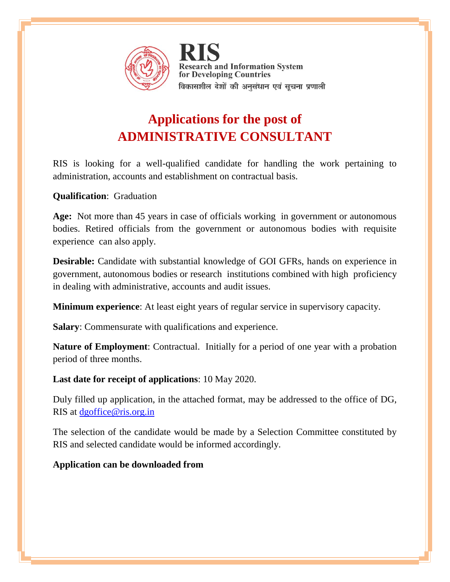

**Research and Information System** for Developing Countries विकासशील देशों की अनुसंधान एवं सूचना प्रणाली

## **Applications for the post of ADMINISTRATIVE CONSULTANT**

RIS is looking for a well-qualified candidate for handling the work pertaining to administration, accounts and establishment on contractual basis.

**Qualification**: Graduation

**Age:** Not more than 45 years in case of officials working in government or autonomous bodies. Retired officials from the government or autonomous bodies with requisite experience can also apply.

**Desirable:** Candidate with substantial knowledge of GOI GFRs, hands on experience in government, autonomous bodies or research institutions combined with high proficiency in dealing with administrative, accounts and audit issues.

**Minimum experience**: At least eight years of regular service in supervisory capacity.

**Salary**: Commensurate with qualifications and experience.

**Nature of Employment**: Contractual. Initially for a period of one year with a probation period of three months.

**Last date for receipt of applications**: 10 May 2020.

Duly filled up application, in the attached format, may be addressed to the office of DG, RIS at [dgoffice@ris.org.in](mailto:dgoffice@ris.org.in)

The selection of the candidate would be made by a Selection Committee constituted by RIS and selected candidate would be informed accordingly.

## **Application can be downloaded from**